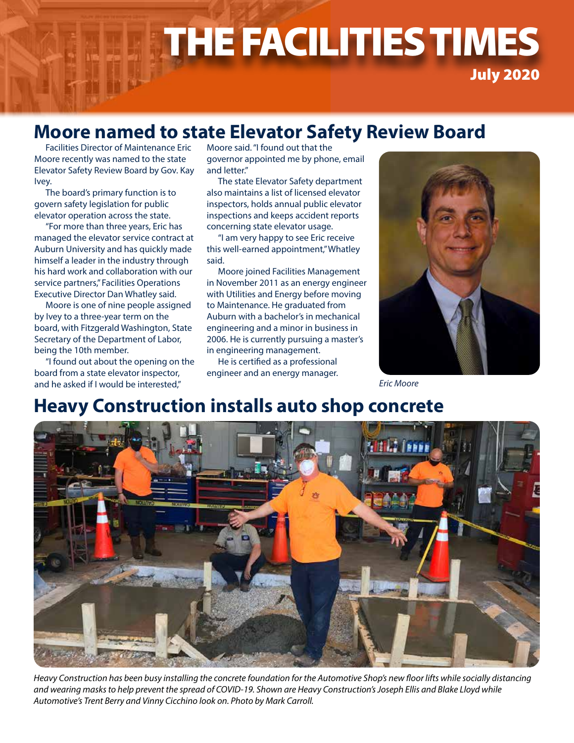# THE FACILITIES TIMES THE FACILITIES TIMES July 2020

### **Moore named to state Elevator Safety Review Board**

Facilities Director of Maintenance Eric Moore recently was named to the state Elevator Safety Review Board by Gov. Kay Ivey.

The board's primary function is to govern safety legislation for public elevator operation across the state.

"For more than three years, Eric has managed the elevator service contract at Auburn University and has quickly made himself a leader in the industry through his hard work and collaboration with our service partners," Facilities Operations Executive Director Dan Whatley said.

Moore is one of nine people assigned by Ivey to a three-year term on the board, with Fitzgerald Washington, State Secretary of the Department of Labor, being the 10th member.

"I found out about the opening on the board from a state elevator inspector, and he asked if I would be interested,"

Moore said. "I found out that the governor appointed me by phone, email and letter."

The state Elevator Safety department also maintains a list of licensed elevator inspectors, holds annual public elevator inspections and keeps accident reports concerning state elevator usage.

"I am very happy to see Eric receive this well-earned appointment," Whatley said.

Moore joined Facilities Management in November 2011 as an energy engineer with Utilities and Energy before moving to Maintenance. He graduated from Auburn with a bachelor's in mechanical engineering and a minor in business in 2006. He is currently pursuing a master's in engineering management.

He is certified as a professional engineer and an energy manager.



*Eric Moore*

# **Heavy Construction installs auto shop concrete**



*Heavy Construction has been busy installing the concrete foundation for the Automotive Shop's new floor lifts while socially distancing and wearing masks to help prevent the spread of COVID-19. Shown are Heavy Construction's Joseph Ellis and Blake Lloyd while Automotive's Trent Berry and Vinny Cicchino look on. Photo by Mark Carroll.*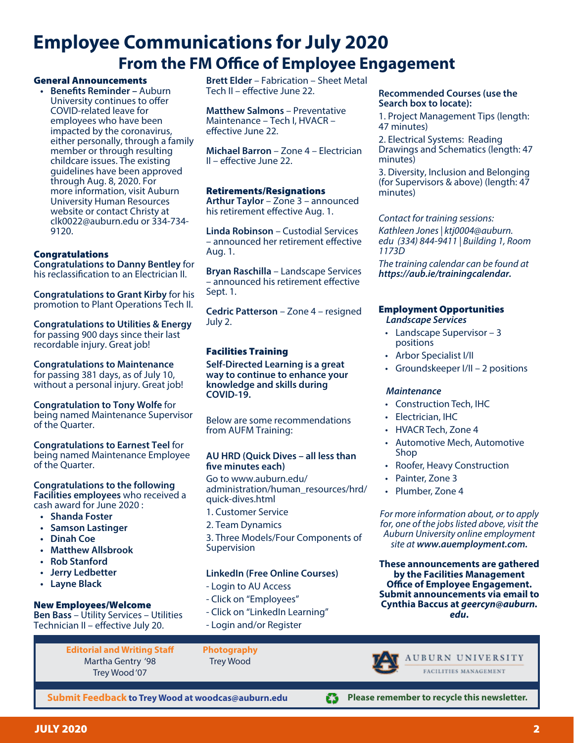# **Employee Communications for July 2020 From the FM Office of Employee Engagement**

#### General Announcements

**• Benefits Reminder –** Auburn University continues to offer COVID-related leave for employees who have been impacted by the coronavirus, either personally, through a family member or through resulting childcare issues. The existing guidelines have been approved through Aug. 8, 2020. For more information, visit Auburn University Human Resources website or contact Christy at clk0022@auburn.edu or 334-734- 9120.

#### **Congratulations**

**Congratulations to Danny Bentley** for his reclassification to an Electrician II.

**Congratulations to Grant Kirby** for his promotion to Plant Operations Tech II.

**Congratulations to Utilities & Energy** for passing 900 days since their last recordable injury. Great job!

**Congratulations to Maintenance** for passing 381 days, as of July 10, without a personal injury. Great job!

**Congratulation to Tony Wolfe** for being named Maintenance Supervisor of the Quarter.

**Congratulations to Earnest Teel** for being named Maintenance Employee of the Quarter.

#### **Congratulations to the following Facilities employees** who received a cash award for June 2020 :

- **• Shanda Foster**
- **• Samson Lastinger**
- **• Dinah Coe**
- **• Matthew Allsbrook**
- **• Rob Stanford**
- **• Jerry Ledbetter**
- **• Layne Black**

#### New Employees/Welcome

**Ben Bass** – Utility Services – Utilities Technician II – effective July 20.

> **Editorial and Writing Staff** Martha Gentry '98 Trey Wood '07

**Submit Feedback to Trey Wood at woodcas@auburn.edu**

**Brett Elder** – Fabrication – Sheet Metal Tech II – effective June 22.

**Matthew Salmons** – Preventative Maintenance – Tech I, HVACR – effective June 22.

**Michael Barron** – Zone 4 – Electrician II – effective June 22.

#### Retirements/Resignations

**Arthur Taylor** – Zone 3 – announced his retirement effective Aug. 1.

**Linda Robinson** – Custodial Services – announced her retirement effective Aug. 1.

**Bryan Raschilla** – Landscape Services – announced his retirement effective Sept. 1.

**Cedric Patterson** – Zone 4 – resigned July 2.

#### Facilities Training

**Self-Directed Learning is a great way to continue to enhance your knowledge and skills during COVID-19.**

Below are some recommendations from AUFM Training:

#### **AU HRD (Quick Dives – all less than five minutes each)**

Go to www.auburn.edu/ administration/human\_resources/hrd/ quick-dives.html

- 1. Customer Service
- 2. Team Dynamics

3. Three Models/Four Components of Supervision

Ø

#### **LinkedIn (Free Online Courses)**

- Login to AU Access
- Click on "Employees"
- Click on "LinkedIn Learning"
- Login and/or Register

**Photography** Trey Wood

#### **Recommended Courses (use the Search box to locate):**

1. Project Management Tips (length: 47 minutes)

2. Electrical Systems: Reading Drawings and Schematics (length: 47 minutes)

3. Diversity, Inclusion and Belonging (for Supervisors & above) (length: 47 minutes)

*Contact for training sessions:*

*Kathleen Jones | ktj0004@auburn. edu (334) 844-9411 | Building 1, Room 1173D*

*The training calendar can be found at https://aub.ie/trainingcalendar.*

#### Employment Opportunities

*Landscape Services*

- Landscape Supervisor 3 positions
- Arbor Specialist I/II
- Groundskeeper I/II 2 positions

#### *Maintenance*

- Construction Tech, IHC
- Electrician, IHC
- HVACR Tech, Zone 4
- Automotive Mech, Automotive Shop
- Roofer, Heavy Construction
- Painter, Zone 3
- Plumber, Zone 4

*For more information about, or to apply for, one of the jobs listed above, visit the Auburn University online employment site at www.auemployment.com.*

**These announcements are gathered by the Facilities Management Office of Employee Engagement. Submit announcements via email to Cynthia Baccus at** *geercyn@auburn. edu***.**

FACILITIES MANAGEMENT

**Please remember to recycle this newsletter.**

AUBURN UNIVERSITY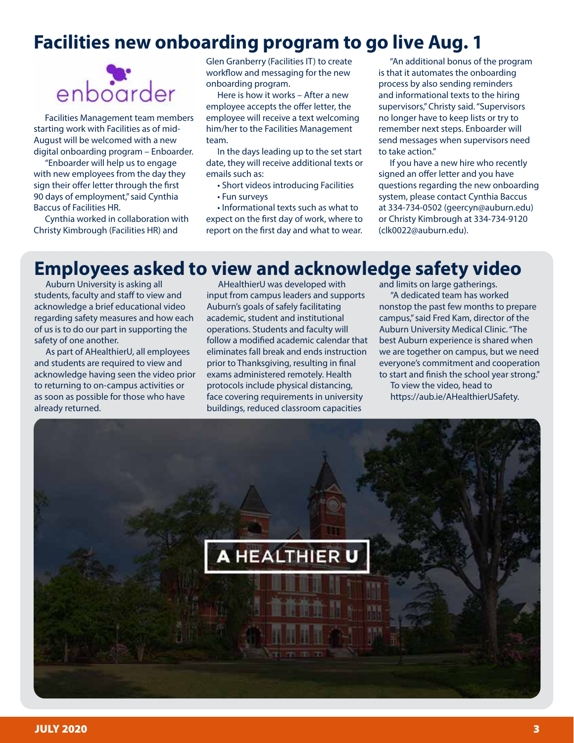# **Facilities new onboarding program to go live Aug. 1**



Facilities Management team members starting work with Facilities as of mid-August will be welcomed with a new digital onboarding program – Enboarder.

"Enboarder will help us to engage with new employees from the day they sign their offer letter through the first 90 days of employment," said Cynthia Baccus of Facilities HR.

Cynthia worked in collaboration with Christy Kimbrough (Facilities HR) and

Glen Granberry (Facilities IT) to create workflow and messaging for the new onboarding program.

Here is how it works – After a new employee accepts the offer letter, the employee will receive a text welcoming him/her to the Facilities Management team.

In the days leading up to the set start date, they will receive additional texts or emails such as:

• Short videos introducing Facilities

• Fun surveys

• Informational texts such as what to expect on the first day of work, where to report on the first day and what to wear.

"An additional bonus of the program is that it automates the onboarding process by also sending reminders and informational texts to the hiring supervisors," Christy said. "Supervisors no longer have to keep lists or try to remember next steps. Enboarder will send messages when supervisors need to take action."

If you have a new hire who recently signed an offer letter and you have questions regarding the new onboarding system, please contact Cynthia Baccus at 334-734-0502 (geercyn@auburn.edu) or Christy Kimbrough at 334-734-9120 (clk0022@auburn.edu).

# **Employees asked to view and acknowledge safety video**

Auburn University is asking all students, faculty and staff to view and acknowledge a brief educational video regarding safety measures and how each of us is to do our part in supporting the safety of one another.

As part of AHealthierU, all employees and students are required to view and acknowledge having seen the video prior to returning to on-campus activities or as soon as possible for those who have already returned.

AHealthierU was developed with input from campus leaders and supports Auburn's goals of safely facilitating academic, student and institutional operations. Students and faculty will follow a modified academic calendar that eliminates fall break and ends instruction prior to Thanksgiving, resulting in final exams administered remotely. Health protocols include physical distancing, face covering requirements in university buildings, reduced classroom capacities

and limits on large gatherings.

"A dedicated team has worked nonstop the past few months to prepare campus," said Fred Kam, director of the Auburn University Medical Clinic. "The best Auburn experience is shared when we are together on campus, but we need everyone's commitment and cooperation to start and finish the school year strong." To view the video, head to https://aub.ie/AHealthierUSafety.